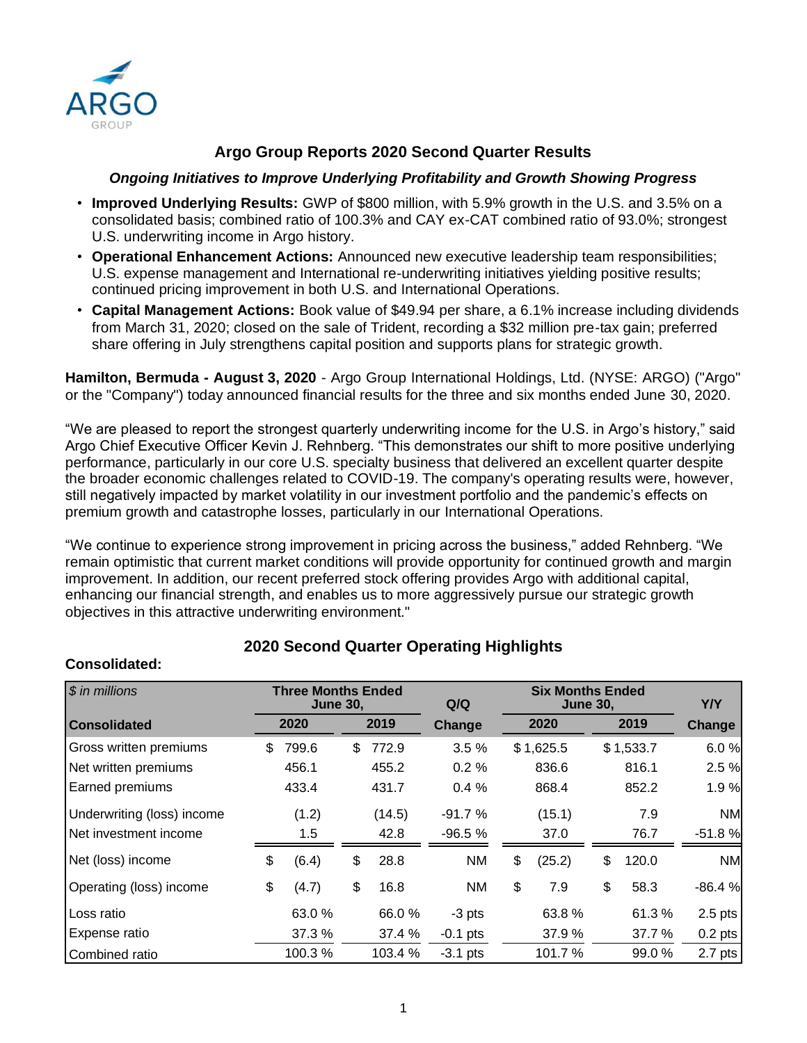

**Consolidated:**

## **Argo Group Reports 2020 Second Quarter Results**

## *Ongoing Initiatives to Improve Underlying Profitability and Growth Showing Progress*

- **Improved Underlying Results:** GWP of \$800 million, with 5.9% growth in the U.S. and 3.5% on a consolidated basis; combined ratio of 100.3% and CAY ex-CAT combined ratio of 93.0%; strongest U.S. underwriting income in Argo history.
- **Operational Enhancement Actions:** Announced new executive leadership team responsibilities; U.S. expense management and International re-underwriting initiatives yielding positive results; continued pricing improvement in both U.S. and International Operations.
- **Capital Management Actions:** Book value of \$49.94 per share, a 6.1% increase including dividends from March 31, 2020; closed on the sale of Trident, recording a \$32 million pre-tax gain; preferred share offering in July strengthens capital position and supports plans for strategic growth.

**Hamilton, Bermuda - August 3, 2020** - Argo Group International Holdings, Ltd. (NYSE: ARGO) ("Argo" or the "Company") today announced financial results for the three and six months ended June 30, 2020.

"We are pleased to report the strongest quarterly underwriting income for the U.S. in Argo's history," said Argo Chief Executive Officer Kevin J. Rehnberg. "This demonstrates our shift to more positive underlying performance, particularly in our core U.S. specialty business that delivered an excellent quarter despite the broader economic challenges related to COVID-19. The company's operating results were, however, still negatively impacted by market volatility in our investment portfolio and the pandemic's effects on premium growth and catastrophe losses, particularly in our International Operations.

"We continue to experience strong improvement in pricing across the business," added Rehnberg. "We remain optimistic that current market conditions will provide opportunity for continued growth and margin improvement. In addition, our recent preferred stock offering provides Argo with additional capital, enhancing our financial strength, and enables us to more aggressively pursue our strategic growth objectives in this attractive underwriting environment."

# *\$ in millions* **Three Months Ended June 30, Q/Q Six Months Ended June 30, Y/Y Consolidated 2020 2019 Change 2020 2019 Change** Gross written premiums  $$ 799.6$   $$ 772.9$   $$ 3.5\%$   $$ 1,625.5$   $$ 1,533.7$   $$ 6.0\%$ Net written premiums  $456.1$   $455.2$   $0.2\%$   $836.6$   $816.1$   $2.5\%$ Earned premiums 433.4 431.7 0.4 % 868.4 852.2 1.9 % Underwriting (loss) income (1.2) (14.5) -91.7 % (15.1) 7.9 NM Net investment income  $1.5$   $42.8$   $-96.5$  %  $37.0$   $76.7$   $-51.8$  % Net (loss) income \$ (6.4) \$ 28.8 NM \$ (25.2) \$ 120.0 NM Operating (loss) income \$ (4.7) \$ 16.8 NM \$ 7.9 \$ 58.3 -86.4 % Loss ratio 63.0 % 66.0 % -3 pts 63.8 % 61.3 % 2.5 pts Expense ratio **37.3** % 37.4 % -0.1 pts 37.9 % 37.7 % 0.2 pts Combined ratio 100.3 % 103.4 % -3.1 pts 101.7 % 99.0 % 2.7 pts

# **2020 Second Quarter Operating Highlights**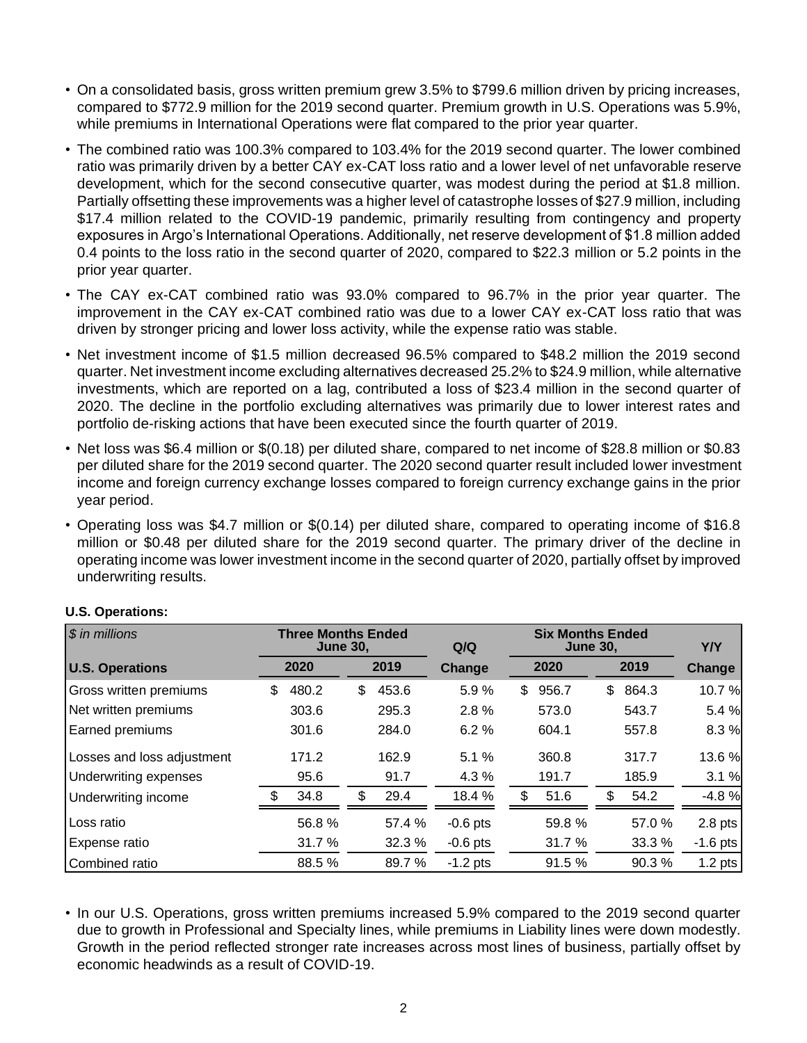- On a consolidated basis, gross written premium grew 3.5% to \$799.6 million driven by pricing increases, compared to \$772.9 million for the 2019 second quarter. Premium growth in U.S. Operations was 5.9%, while premiums in International Operations were flat compared to the prior year quarter.
- The combined ratio was 100.3% compared to 103.4% for the 2019 second quarter. The lower combined ratio was primarily driven by a better CAY ex-CAT loss ratio and a lower level of net unfavorable reserve development, which for the second consecutive quarter, was modest during the period at \$1.8 million. Partially offsetting these improvements was a higher level of catastrophe losses of \$27.9 million, including \$17.4 million related to the COVID-19 pandemic, primarily resulting from contingency and property exposures in Argo's International Operations. Additionally, net reserve development of \$1.8 million added 0.4 points to the loss ratio in the second quarter of 2020, compared to \$22.3 million or 5.2 points in the prior year quarter.
- The CAY ex-CAT combined ratio was 93.0% compared to 96.7% in the prior year quarter. The improvement in the CAY ex-CAT combined ratio was due to a lower CAY ex-CAT loss ratio that was driven by stronger pricing and lower loss activity, while the expense ratio was stable.
- Net investment income of \$1.5 million decreased 96.5% compared to \$48.2 million the 2019 second quarter. Net investment income excluding alternatives decreased 25.2% to \$24.9 million, while alternative investments, which are reported on a lag, contributed a loss of \$23.4 million in the second quarter of 2020. The decline in the portfolio excluding alternatives was primarily due to lower interest rates and portfolio de-risking actions that have been executed since the fourth quarter of 2019.
- Net loss was \$6.4 million or \$(0.18) per diluted share, compared to net income of \$28.8 million or \$0.83 per diluted share for the 2019 second quarter. The 2020 second quarter result included lower investment income and foreign currency exchange losses compared to foreign currency exchange gains in the prior year period.
- Operating loss was \$4.7 million or \$(0.14) per diluted share, compared to operating income of \$16.8 million or \$0.48 per diluted share for the 2019 second quarter. The primary driver of the decline in operating income was lower investment income in the second quarter of 2020, partially offset by improved underwriting results.

| $$$ in millions               | <b>Three Months Ended</b><br><b>June 30,</b> |             | Q/Q           |      | <b>Six Months Ended</b><br><b>June 30,</b> |      |        | Y/Y        |
|-------------------------------|----------------------------------------------|-------------|---------------|------|--------------------------------------------|------|--------|------------|
| <b>U.S. Operations</b>        | 2020                                         | 2019        | <b>Change</b> | 2020 |                                            | 2019 |        | Change     |
| <b>Gross written premiums</b> | \$<br>480.2                                  | \$<br>453.6 | 5.9%          | \$   | 956.7                                      | \$   | 864.3  | 10.7%      |
| Net written premiums          | 303.6                                        | 295.3       | 2.8%          |      | 573.0                                      |      | 543.7  | 5.4 %      |
| <b>Earned premiums</b>        | 301.6                                        | 284.0       | 6.2%          |      | 604.1                                      |      | 557.8  | 8.3%       |
| Losses and loss adjustment    | 171.2                                        | 162.9       | 5.1%          |      | 360.8                                      |      | 317.7  | 13.6%      |
| <b>Underwriting expenses</b>  | 95.6                                         | 91.7        | 4.3 %         |      | 191.7                                      |      | 185.9  | 3.1%       |
| Underwriting income           | 34.8                                         | \$<br>29.4  | 18.4 %        | \$   | 51.6                                       | \$   | 54.2   | $-4.8%$    |
| Loss ratio                    | 56.8%                                        | 57.4 %      | $-0.6$ pts    |      | 59.8 %                                     |      | 57.0 % | $2.8$ pts  |
| <b>Expense ratio</b>          | 31.7%                                        | 32.3%       | $-0.6$ pts    |      | 31.7%                                      |      | 33.3 % | $-1.6$ pts |
| Combined ratio                | 88.5%                                        | 89.7 %      | $-1.2$ pts    |      | 91.5 %                                     |      | 90.3%  | $1.2$ pts  |

## **U.S. Operations:**

• In our U.S. Operations, gross written premiums increased 5.9% compared to the 2019 second quarter due to growth in Professional and Specialty lines, while premiums in Liability lines were down modestly. Growth in the period reflected stronger rate increases across most lines of business, partially offset by economic headwinds as a result of COVID-19.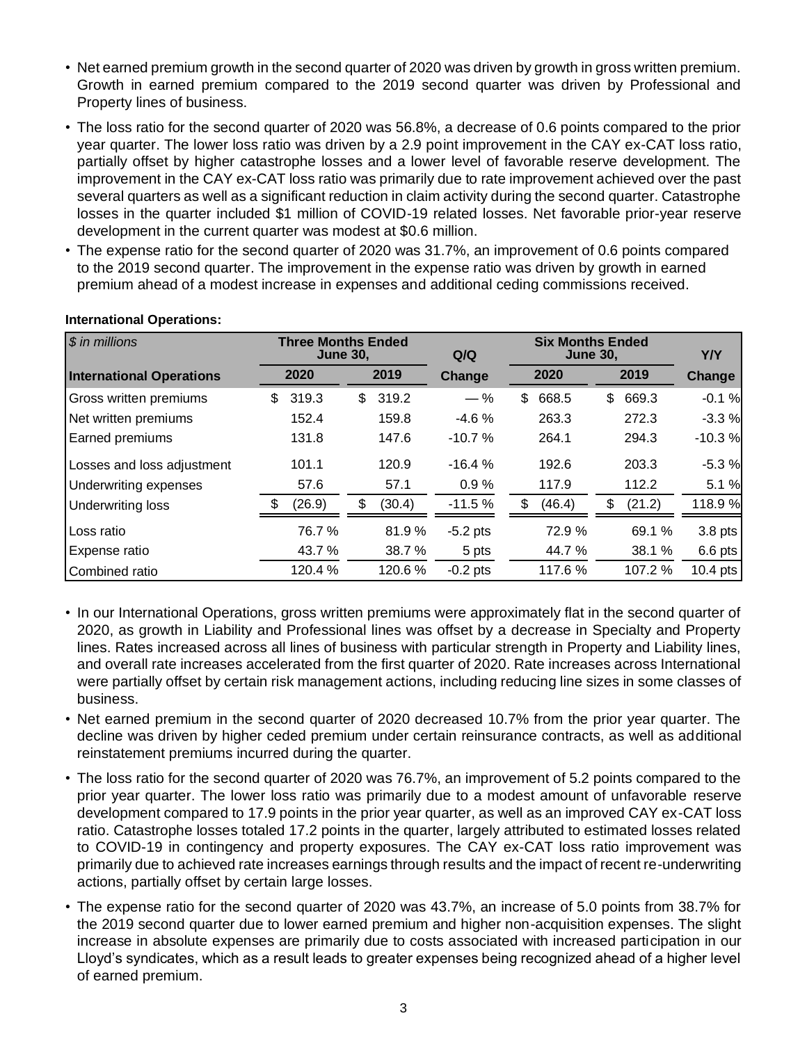- Net earned premium growth in the second quarter of 2020 was driven by growth in gross written premium. Growth in earned premium compared to the 2019 second quarter was driven by Professional and Property lines of business.
- The loss ratio for the second quarter of 2020 was 56.8%, a decrease of 0.6 points compared to the prior year quarter. The lower loss ratio was driven by a 2.9 point improvement in the CAY ex-CAT loss ratio, partially offset by higher catastrophe losses and a lower level of favorable reserve development. The improvement in the CAY ex-CAT loss ratio was primarily due to rate improvement achieved over the past several quarters as well as a significant reduction in claim activity during the second quarter. Catastrophe losses in the quarter included \$1 million of COVID-19 related losses. Net favorable prior-year reserve development in the current quarter was modest at \$0.6 million.
- The expense ratio for the second quarter of 2020 was 31.7%, an improvement of 0.6 points compared to the 2019 second quarter. The improvement in the expense ratio was driven by growth in earned premium ahead of a modest increase in expenses and additional ceding commissions received.

| $$$ in millions                 | <b>Three Months Ended</b><br><b>June 30,</b> |              | Q/Q                    | <b>Six Months Ended</b><br><b>June 30,</b> |               |     | Y/Y     |            |
|---------------------------------|----------------------------------------------|--------------|------------------------|--------------------------------------------|---------------|-----|---------|------------|
| <b>International Operations</b> | 2020                                         | 2019         | 2019<br>2020<br>Change |                                            | <b>Change</b> |     |         |            |
| Gross written premiums          | \$<br>319.3                                  | \$<br>319.2  | $-$ %                  | \$                                         | 668.5         | \$  | 669.3   | $-0.1%$    |
| Net written premiums            | 152.4                                        | 159.8        | $-4.6%$                |                                            | 263.3         |     | 272.3   | $-3.3%$    |
| <b>Earned premiums</b>          | 131.8                                        | 147.6        | $-10.7%$               |                                            | 264.1         |     | 294.3   | $-10.3%$   |
| Losses and loss adjustment      | 101.1                                        | 120.9        | $-16.4%$               |                                            | 192.6         |     | 203.3   | $-5.3%$    |
| Underwriting expenses           | 57.6                                         | 57.1         | 0.9%                   |                                            | 117.9         |     | 112.2   | 5.1%       |
| <b>Underwriting loss</b>        | (26.9)                                       | \$<br>(30.4) | $-11.5%$               | \$                                         | (46.4)        | \$. | (21.2)  | 118.9%     |
| Loss ratio                      | 76.7%                                        | 81.9%        | $-5.2$ pts             |                                            | 72.9 %        |     | 69.1 %  | $3.8$ pts  |
| Expense ratio                   | 43.7%                                        | 38.7%        | 5 pts                  |                                            | 44.7 %        |     | 38.1 %  | 6.6 pts    |
| Combined ratio                  | 120.4%                                       | 120.6%       | $-0.2$ pts             |                                            | 117.6 %       |     | 107.2 % | $10.4$ pts |

#### **International Operations:**

- In our International Operations, gross written premiums were approximately flat in the second quarter of 2020, as growth in Liability and Professional lines was offset by a decrease in Specialty and Property lines. Rates increased across all lines of business with particular strength in Property and Liability lines, and overall rate increases accelerated from the first quarter of 2020. Rate increases across International were partially offset by certain risk management actions, including reducing line sizes in some classes of business.
- Net earned premium in the second quarter of 2020 decreased 10.7% from the prior year quarter. The decline was driven by higher ceded premium under certain reinsurance contracts, as well as additional reinstatement premiums incurred during the quarter.
- The loss ratio for the second quarter of 2020 was 76.7%, an improvement of 5.2 points compared to the prior year quarter. The lower loss ratio was primarily due to a modest amount of unfavorable reserve development compared to 17.9 points in the prior year quarter, as well as an improved CAY ex-CAT loss ratio. Catastrophe losses totaled 17.2 points in the quarter, largely attributed to estimated losses related to COVID-19 in contingency and property exposures. The CAY ex-CAT loss ratio improvement was primarily due to achieved rate increases earnings through results and the impact of recent re-underwriting actions, partially offset by certain large losses.
- The expense ratio for the second quarter of 2020 was 43.7%, an increase of 5.0 points from 38.7% for the 2019 second quarter due to lower earned premium and higher non-acquisition expenses. The slight increase in absolute expenses are primarily due to costs associated with increased participation in our Lloyd's syndicates, which as a result leads to greater expenses being recognized ahead of a higher level of earned premium.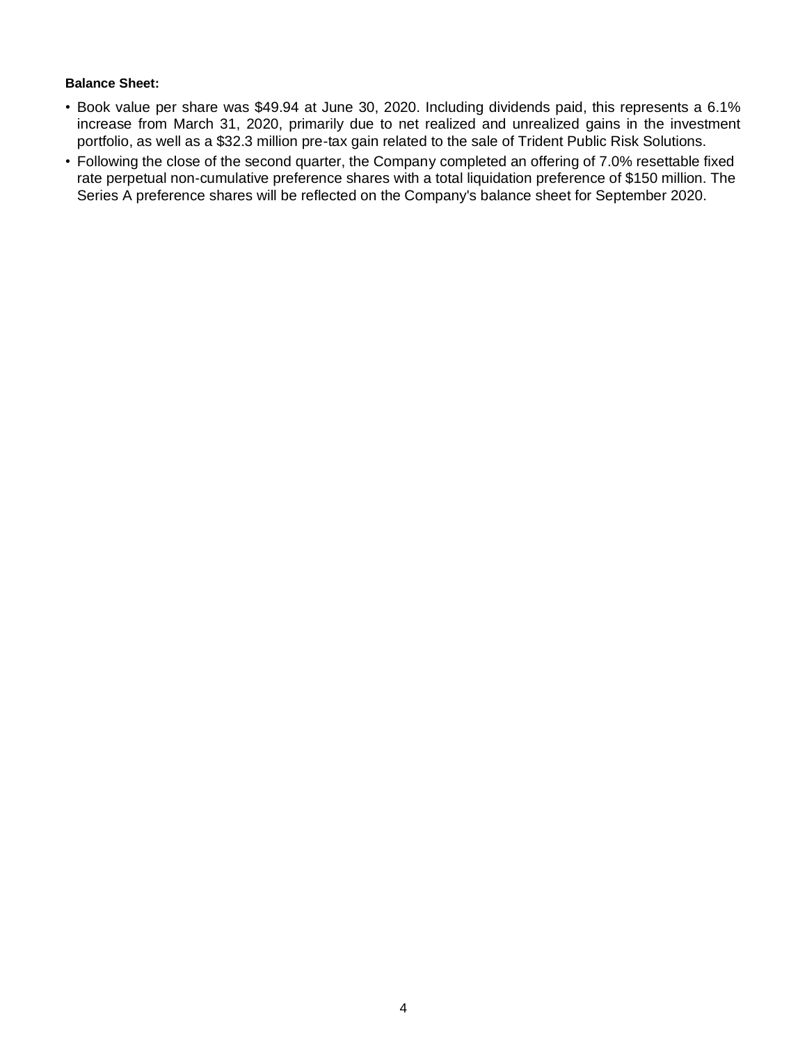#### **Balance Sheet:**

- Book value per share was \$49.94 at June 30, 2020. Including dividends paid, this represents a 6.1% increase from March 31, 2020, primarily due to net realized and unrealized gains in the investment portfolio, as well as a \$32.3 million pre-tax gain related to the sale of Trident Public Risk Solutions.
- Following the close of the second quarter, the Company completed an offering of 7.0% resettable fixed rate perpetual non-cumulative preference shares with a total liquidation preference of \$150 million. The Series A preference shares will be reflected on the Company's balance sheet for September 2020.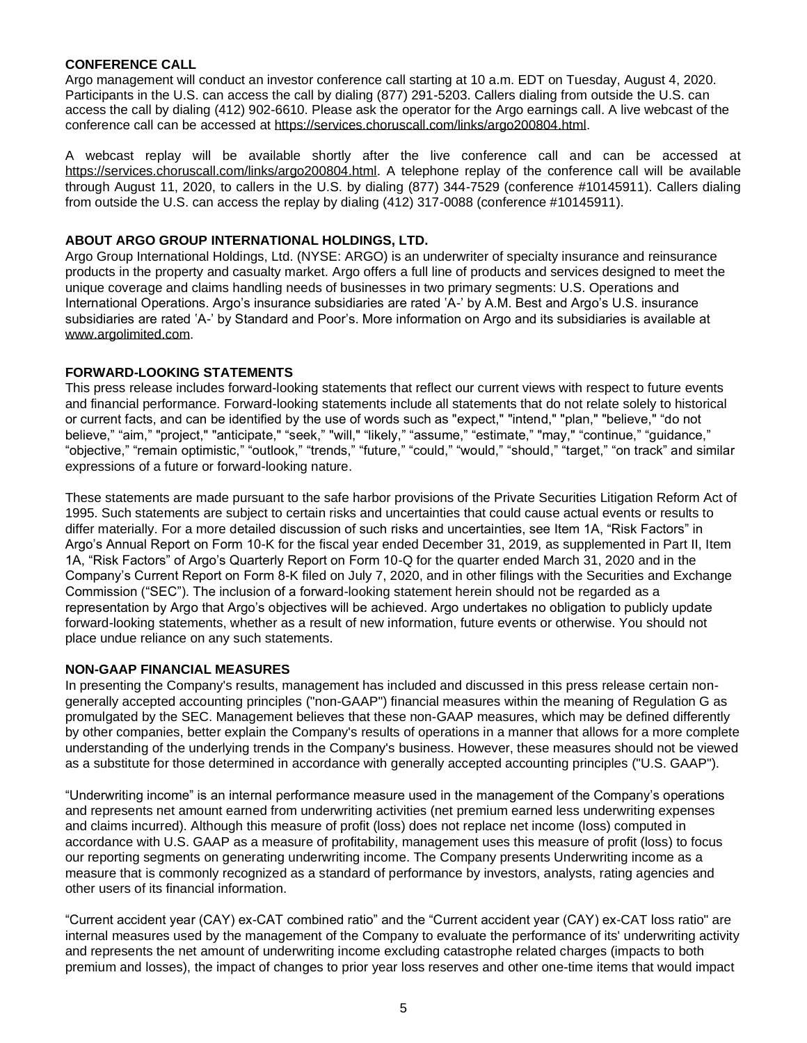#### **CONFERENCE CALL**

Argo management will conduct an investor conference call starting at 10 a.m. EDT on Tuesday, August 4, 2020. Participants in the U.S. can access the call by dialing (877) 291-5203. Callers dialing from outside the U.S. can access the call by dialing (412) 902-6610. Please ask the operator for the Argo earnings call. A live webcast of the conference call can be accessed at [https://services.choruscall.com/links/argo200804.html.](https://urldefense.com/v3/__https:/services.choruscall.com/links/argo200804.html__;!!OA9rSVZL!xceg9iaV9x7Ywz0aNiQFqsLj8xEtCXtMG4P3K-VMGWwIXth3-4lk-iyepqMKMj_w9g6Kj2jo$)

A webcast replay will be available shortly after the live conference call and can be accessed at [https://services.choruscall.com/links/argo200804.html.](https://urldefense.com/v3/__https:/services.choruscall.com/links/argo200804.html__;!!OA9rSVZL!xceg9iaV9x7Ywz0aNiQFqsLj8xEtCXtMG4P3K-VMGWwIXth3-4lk-iyepqMKMj_w9g6Kj2jo$) A telephone replay of the conference call will be available through August 11, 2020, to callers in the U.S. by dialing (877) 344-7529 (conference #10145911). Callers dialing from outside the U.S. can access the replay by dialing (412) 317-0088 (conference #10145911).

#### **ABOUT ARGO GROUP INTERNATIONAL HOLDINGS, LTD.**

Argo Group International Holdings, Ltd. (NYSE: ARGO) is an underwriter of specialty insurance and reinsurance products in the property and casualty market. Argo offers a full line of products and services designed to meet the unique coverage and claims handling needs of businesses in two primary segments: U.S. Operations and International Operations. Argo's insurance subsidiaries are rated 'A-' by A.M. Best and Argo's U.S. insurance subsidiaries are rated 'A-' by Standard and Poor's. More information on Argo and its subsidiaries is available at www.argolimited.com.

#### **FORWARD-LOOKING STATEMENTS**

This press release includes forward-looking statements that reflect our current views with respect to future events and financial performance. Forward-looking statements include all statements that do not relate solely to historical or current facts, and can be identified by the use of words such as "expect," "intend," "plan," "believe," "do not believe," "aim," "project," "anticipate," "seek," "will," "likely," "assume," "estimate," "may," "continue," "guidance," "objective," "remain optimistic," "outlook," "trends," "future," "could," "would," "should," "target," "on track" and similar expressions of a future or forward-looking nature.

These statements are made pursuant to the safe harbor provisions of the Private Securities Litigation Reform Act of 1995. Such statements are subject to certain risks and uncertainties that could cause actual events or results to differ materially. For a more detailed discussion of such risks and uncertainties, see Item 1A, "Risk Factors" in Argo's Annual Report on Form 10-K for the fiscal year ended December 31, 2019, as supplemented in Part II, Item 1A, "Risk Factors" of Argo's Quarterly Report on Form 10-Q for the quarter ended March 31, 2020 and in the Company's Current Report on Form 8-K filed on July 7, 2020, and in other filings with the Securities and Exchange Commission ("SEC"). The inclusion of a forward-looking statement herein should not be regarded as a representation by Argo that Argo's objectives will be achieved. Argo undertakes no obligation to publicly update forward-looking statements, whether as a result of new information, future events or otherwise. You should not place undue reliance on any such statements.

#### **NON-GAAP FINANCIAL MEASURES**

In presenting the Company's results, management has included and discussed in this press release certain nongenerally accepted accounting principles ("non-GAAP") financial measures within the meaning of Regulation G as promulgated by the SEC. Management believes that these non-GAAP measures, which may be defined differently by other companies, better explain the Company's results of operations in a manner that allows for a more complete understanding of the underlying trends in the Company's business. However, these measures should not be viewed as a substitute for those determined in accordance with generally accepted accounting principles ("U.S. GAAP").

"Underwriting income" is an internal performance measure used in the management of the Company's operations and represents net amount earned from underwriting activities (net premium earned less underwriting expenses and claims incurred). Although this measure of profit (loss) does not replace net income (loss) computed in accordance with U.S. GAAP as a measure of profitability, management uses this measure of profit (loss) to focus our reporting segments on generating underwriting income. The Company presents Underwriting income as a measure that is commonly recognized as a standard of performance by investors, analysts, rating agencies and other users of its financial information.

"Current accident year (CAY) ex-CAT combined ratio" and the "Current accident year (CAY) ex-CAT loss ratio" are internal measures used by the management of the Company to evaluate the performance of its' underwriting activity and represents the net amount of underwriting income excluding catastrophe related charges (impacts to both premium and losses), the impact of changes to prior year loss reserves and other one-time items that would impact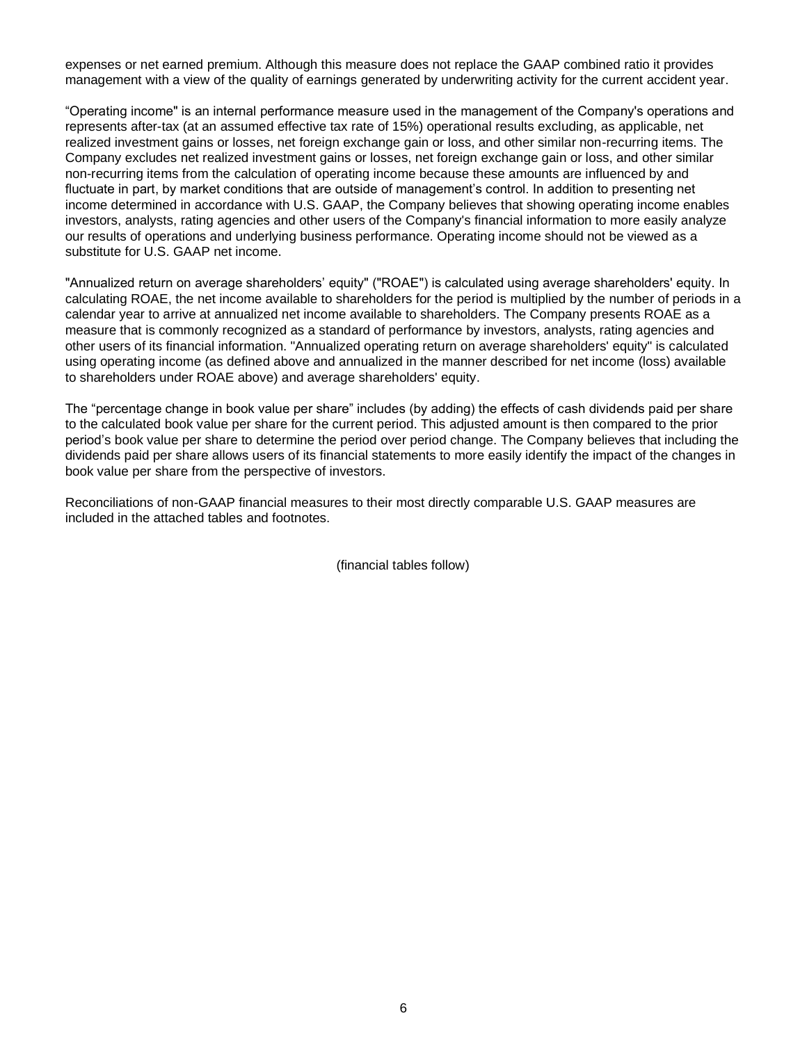expenses or net earned premium. Although this measure does not replace the GAAP combined ratio it provides management with a view of the quality of earnings generated by underwriting activity for the current accident year.

"Operating income" is an internal performance measure used in the management of the Company's operations and represents after-tax (at an assumed effective tax rate of 15%) operational results excluding, as applicable, net realized investment gains or losses, net foreign exchange gain or loss, and other similar non-recurring items. The Company excludes net realized investment gains or losses, net foreign exchange gain or loss, and other similar non-recurring items from the calculation of operating income because these amounts are influenced by and fluctuate in part, by market conditions that are outside of management's control. In addition to presenting net income determined in accordance with U.S. GAAP, the Company believes that showing operating income enables investors, analysts, rating agencies and other users of the Company's financial information to more easily analyze our results of operations and underlying business performance. Operating income should not be viewed as a substitute for U.S. GAAP net income.

"Annualized return on average shareholders' equity" ("ROAE") is calculated using average shareholders' equity. In calculating ROAE, the net income available to shareholders for the period is multiplied by the number of periods in a calendar year to arrive at annualized net income available to shareholders. The Company presents ROAE as a measure that is commonly recognized as a standard of performance by investors, analysts, rating agencies and other users of its financial information. "Annualized operating return on average shareholders' equity" is calculated using operating income (as defined above and annualized in the manner described for net income (loss) available to shareholders under ROAE above) and average shareholders' equity.

The "percentage change in book value per share" includes (by adding) the effects of cash dividends paid per share to the calculated book value per share for the current period. This adjusted amount is then compared to the prior period's book value per share to determine the period over period change. The Company believes that including the dividends paid per share allows users of its financial statements to more easily identify the impact of the changes in book value per share from the perspective of investors.

Reconciliations of non-GAAP financial measures to their most directly comparable U.S. GAAP measures are included in the attached tables and footnotes.

(financial tables follow)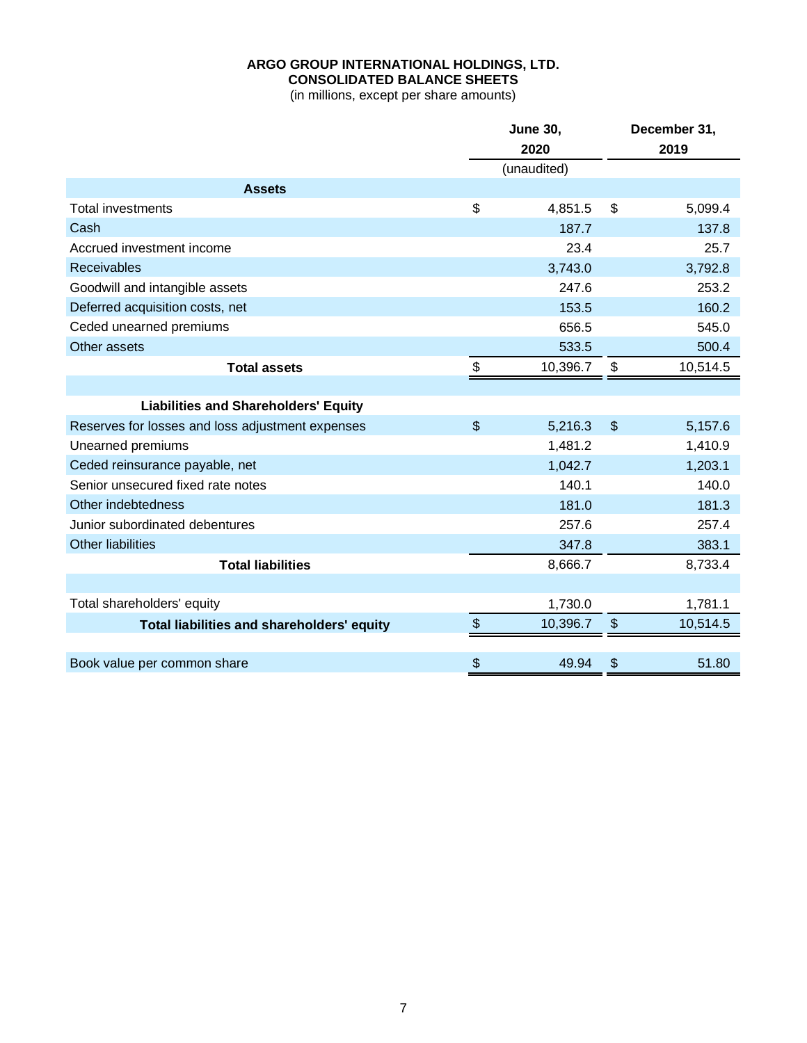# **ARGO GROUP INTERNATIONAL HOLDINGS, LTD. CONSOLIDATED BALANCE SHEETS**

(in millions, except per share amounts)

|                                                  | <b>June 30,</b><br>2020 |       | December 31,<br>2019 |
|--------------------------------------------------|-------------------------|-------|----------------------|
|                                                  | (unaudited)             |       |                      |
| <b>Assets</b>                                    |                         |       |                      |
| <b>Total investments</b>                         | \$<br>4,851.5           | \$    | 5,099.4              |
| Cash                                             | 187.7                   |       | 137.8                |
| Accrued investment income                        | 23.4                    |       | 25.7                 |
| Receivables                                      | 3,743.0                 |       | 3,792.8              |
| Goodwill and intangible assets                   | 247.6                   |       | 253.2                |
| Deferred acquisition costs, net                  | 153.5                   |       | 160.2                |
| Ceded unearned premiums                          | 656.5                   |       | 545.0                |
| Other assets                                     | 533.5                   |       | 500.4                |
| <b>Total assets</b>                              | \$<br>10,396.7          | \$    | 10,514.5             |
|                                                  |                         |       |                      |
| <b>Liabilities and Shareholders' Equity</b>      |                         |       |                      |
| Reserves for losses and loss adjustment expenses | \$<br>5,216.3           | $\$\$ | 5,157.6              |
| Unearned premiums                                | 1,481.2                 |       | 1,410.9              |
| Ceded reinsurance payable, net                   | 1,042.7                 |       | 1,203.1              |
| Senior unsecured fixed rate notes                | 140.1                   |       | 140.0                |
| Other indebtedness                               | 181.0                   |       | 181.3                |
| Junior subordinated debentures                   | 257.6                   |       | 257.4                |
| <b>Other liabilities</b>                         | 347.8                   |       | 383.1                |
| <b>Total liabilities</b>                         | 8,666.7                 |       | 8,733.4              |
|                                                  |                         |       |                      |
| Total shareholders' equity                       | 1,730.0                 |       | 1,781.1              |
| Total liabilities and shareholders' equity       | \$<br>10,396.7          | $\$\$ | 10,514.5             |
|                                                  |                         |       |                      |
| Book value per common share                      | \$<br>49.94             | \$    | 51.80                |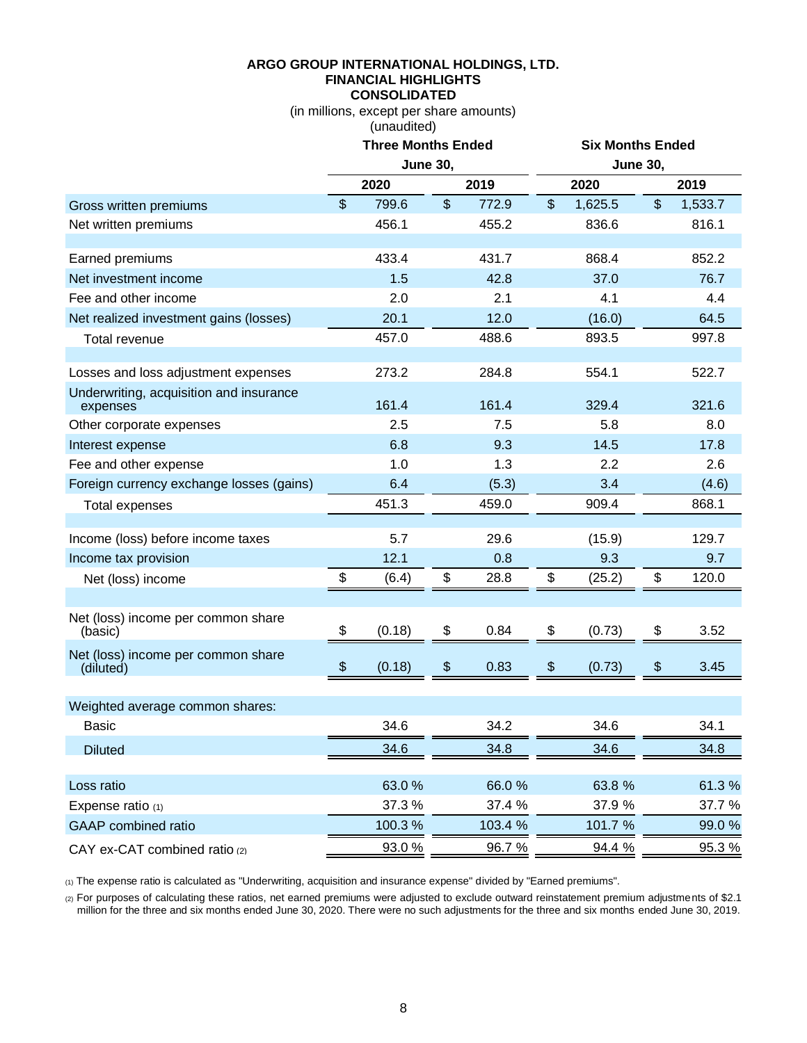#### **ARGO GROUP INTERNATIONAL HOLDINGS, LTD. FINANCIAL HIGHLIGHTS CONSOLIDATED**

(in millions, except per share amounts) (unaudited)

|                                                     | <b>Three Months Ended</b> |                       |         | <b>Six Months Ended</b> |                 |    |         |  |  |  |
|-----------------------------------------------------|---------------------------|-----------------------|---------|-------------------------|-----------------|----|---------|--|--|--|
|                                                     | <b>June 30,</b>           |                       |         |                         | <b>June 30,</b> |    |         |  |  |  |
|                                                     | 2020                      |                       | 2019    |                         | 2020            |    | 2019    |  |  |  |
| Gross written premiums                              | \$<br>799.6               | \$                    | 772.9   | \$                      | 1,625.5         | \$ | 1,533.7 |  |  |  |
| Net written premiums                                | 456.1                     |                       | 455.2   |                         | 836.6           |    | 816.1   |  |  |  |
| Earned premiums                                     | 433.4                     |                       | 431.7   |                         | 868.4           |    | 852.2   |  |  |  |
| Net investment income                               | 1.5                       |                       | 42.8    |                         | 37.0            |    | 76.7    |  |  |  |
| Fee and other income                                | 2.0                       |                       | 2.1     |                         | 4.1             |    | 4.4     |  |  |  |
| Net realized investment gains (losses)              | 20.1                      |                       | 12.0    |                         | (16.0)          |    | 64.5    |  |  |  |
| Total revenue                                       | 457.0                     |                       | 488.6   |                         | 893.5           |    | 997.8   |  |  |  |
| Losses and loss adjustment expenses                 | 273.2                     |                       | 284.8   |                         | 554.1           |    | 522.7   |  |  |  |
| Underwriting, acquisition and insurance<br>expenses | 161.4                     |                       | 161.4   |                         | 329.4           |    | 321.6   |  |  |  |
| Other corporate expenses                            | 2.5                       |                       | 7.5     |                         | 5.8             |    | 8.0     |  |  |  |
| Interest expense                                    | 6.8                       |                       | 9.3     |                         | 14.5            |    | 17.8    |  |  |  |
| Fee and other expense                               | 1.0                       |                       | 1.3     |                         | 2.2             |    | 2.6     |  |  |  |
| Foreign currency exchange losses (gains)            | 6.4                       |                       | (5.3)   |                         | 3.4             |    | (4.6)   |  |  |  |
| <b>Total expenses</b>                               | 451.3                     |                       | 459.0   |                         | 909.4           |    | 868.1   |  |  |  |
| Income (loss) before income taxes                   | 5.7                       |                       | 29.6    |                         | (15.9)          |    | 129.7   |  |  |  |
| Income tax provision                                | 12.1                      |                       | 0.8     |                         | 9.3             |    | 9.7     |  |  |  |
| Net (loss) income                                   | \$<br>(6.4)               | \$                    | 28.8    | \$                      | (25.2)          | \$ | 120.0   |  |  |  |
|                                                     |                           |                       |         |                         |                 |    |         |  |  |  |
| Net (loss) income per common share<br>(basic)       | \$<br>(0.18)              | \$                    | 0.84    | \$                      | (0.73)          | \$ | 3.52    |  |  |  |
| Net (loss) income per common share<br>(diluted)     | \$<br>(0.18)              | $\boldsymbol{\theta}$ | 0.83    | \$                      | (0.73)          | \$ | 3.45    |  |  |  |
|                                                     |                           |                       |         |                         |                 |    |         |  |  |  |
| Weighted average common shares:                     |                           |                       |         |                         |                 |    |         |  |  |  |
| Basic                                               | 34.6                      |                       | 34.2    |                         | 34.6            |    | 34.1    |  |  |  |
| <b>Diluted</b>                                      | 34.6                      |                       | 34.8    |                         | 34.6            |    | 34.8    |  |  |  |
| Loss ratio                                          | 63.0%                     |                       | 66.0 %  |                         | 63.8 %          |    | 61.3%   |  |  |  |
| Expense ratio (1)                                   | 37.3%                     |                       | 37.4 %  |                         | 37.9 %          |    | 37.7 %  |  |  |  |
| GAAP combined ratio                                 | 100.3%                    |                       | 103.4 % |                         | 101.7 %         |    | 99.0 %  |  |  |  |
| CAY ex-CAT combined ratio (2)                       | 93.0%                     |                       | 96.7 %  |                         | 94.4 %          |    | 95.3%   |  |  |  |

(1) The expense ratio is calculated as "Underwriting, acquisition and insurance expense" divided by "Earned premiums".

(2) For purposes of calculating these ratios, net earned premiums were adjusted to exclude outward reinstatement premium adjustments of \$2.1 million for the three and six months ended June 30, 2020. There were no such adjustments for the three and six months ended June 30, 2019.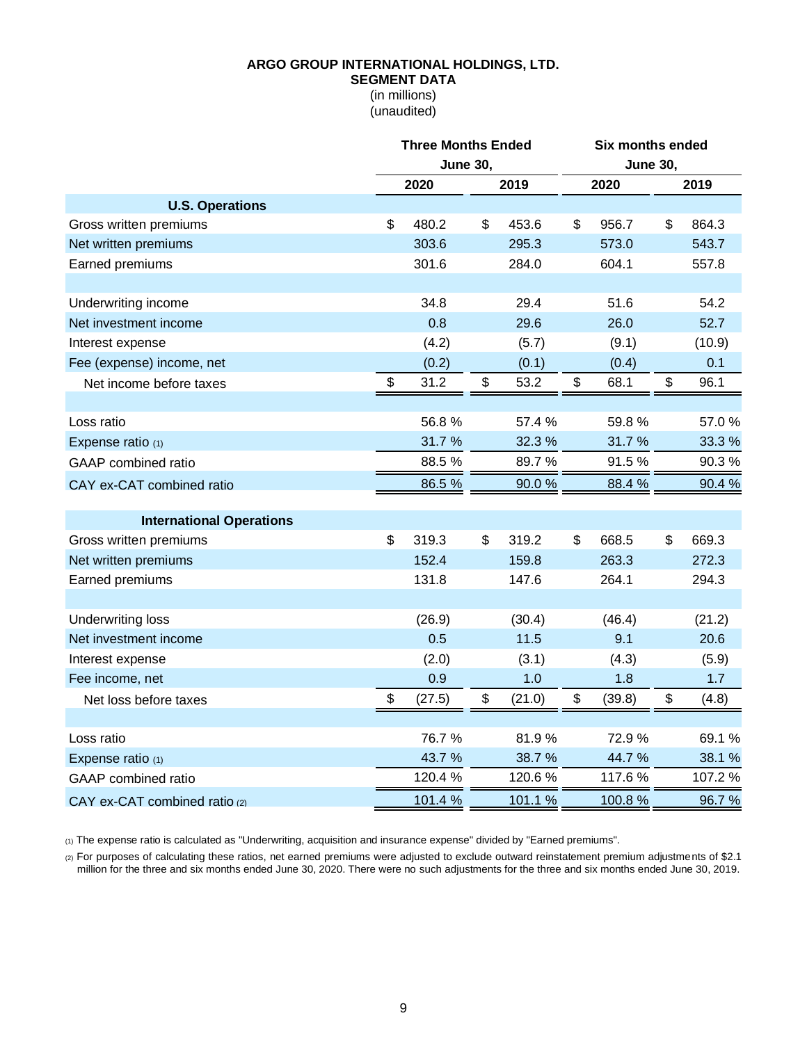#### **ARGO GROUP INTERNATIONAL HOLDINGS, LTD.**

#### **SEGMENT DATA**

(in millions) (unaudited)

|                                 | <b>Three Months Ended</b> |                 |                           |         |    |                 | Six months ended |        |  |  |
|---------------------------------|---------------------------|-----------------|---------------------------|---------|----|-----------------|------------------|--------|--|--|
|                                 |                           | <b>June 30,</b> |                           |         |    | <b>June 30,</b> |                  |        |  |  |
|                                 |                           | 2020            |                           | 2019    |    | 2020            |                  | 2019   |  |  |
| <b>U.S. Operations</b>          |                           |                 |                           |         |    |                 |                  |        |  |  |
| Gross written premiums          | \$                        | 480.2           | \$                        | 453.6   | \$ | 956.7           | \$               | 864.3  |  |  |
| Net written premiums            |                           | 303.6           |                           | 295.3   |    | 573.0           |                  | 543.7  |  |  |
| Earned premiums                 |                           | 301.6           |                           | 284.0   |    | 604.1           |                  | 557.8  |  |  |
|                                 |                           |                 |                           |         |    |                 |                  |        |  |  |
| Underwriting income             |                           | 34.8            |                           | 29.4    |    | 51.6            |                  | 54.2   |  |  |
| Net investment income           |                           | 0.8             |                           | 29.6    |    | 26.0            |                  | 52.7   |  |  |
| Interest expense                |                           | (4.2)           |                           | (5.7)   |    | (9.1)           |                  | (10.9) |  |  |
| Fee (expense) income, net       |                           | (0.2)           |                           | (0.1)   |    | (0.4)           |                  | 0.1    |  |  |
| Net income before taxes         | \$                        | 31.2            | \$                        | 53.2    | \$ | 68.1            | \$               | 96.1   |  |  |
|                                 |                           |                 |                           |         |    |                 |                  |        |  |  |
| Loss ratio                      |                           | 56.8%           |                           | 57.4 %  |    | 59.8%           |                  | 57.0%  |  |  |
| Expense ratio (1)               |                           | 31.7 %          |                           | 32.3 %  |    | 31.7 %          |                  | 33.3%  |  |  |
| GAAP combined ratio             |                           | 88.5%           |                           | 89.7 %  |    | 91.5 %          |                  | 90.3%  |  |  |
| CAY ex-CAT combined ratio       |                           | 86.5 %          |                           | 90.0%   |    | 88.4 %          |                  | 90.4%  |  |  |
|                                 |                           |                 |                           |         |    |                 |                  |        |  |  |
| <b>International Operations</b> |                           |                 |                           |         |    |                 |                  |        |  |  |
| Gross written premiums          | \$                        | 319.3           | $\boldsymbol{\mathsf{S}}$ | 319.2   | \$ | 668.5           | \$               | 669.3  |  |  |
| Net written premiums            |                           | 152.4           |                           | 159.8   |    | 263.3           |                  | 272.3  |  |  |
| Earned premiums                 |                           | 131.8           |                           | 147.6   |    | 264.1           |                  | 294.3  |  |  |
|                                 |                           |                 |                           |         |    |                 |                  |        |  |  |
| <b>Underwriting loss</b>        |                           | (26.9)          |                           | (30.4)  |    | (46.4)          |                  | (21.2) |  |  |
| Net investment income           |                           | 0.5             |                           | 11.5    |    | 9.1             |                  | 20.6   |  |  |
| Interest expense                |                           | (2.0)           |                           | (3.1)   |    | (4.3)           |                  | (5.9)  |  |  |
| Fee income, net                 |                           | 0.9             |                           | 1.0     |    | 1.8             |                  | 1.7    |  |  |
| Net loss before taxes           | \$                        | (27.5)          | \$                        | (21.0)  | \$ | (39.8)          | \$               | (4.8)  |  |  |
|                                 |                           |                 |                           |         |    |                 |                  |        |  |  |
| Loss ratio                      |                           | 76.7%           |                           | 81.9%   |    | 72.9%           |                  | 69.1%  |  |  |
| Expense ratio (1)               |                           | 43.7 %          |                           | 38.7 %  |    | 44.7%           |                  | 38.1%  |  |  |
| <b>GAAP</b> combined ratio      |                           | 120.4 %         |                           | 120.6%  |    | 117.6%          |                  | 107.2% |  |  |
| CAY ex-CAT combined ratio (2)   |                           | 101.4 %         |                           | 101.1 % |    | 100.8%          |                  | 96.7%  |  |  |

(1) The expense ratio is calculated as "Underwriting, acquisition and insurance expense" divided by "Earned premiums".

(2) For purposes of calculating these ratios, net earned premiums were adjusted to exclude outward reinstatement premium adjustments of \$2.1 million for the three and six months ended June 30, 2020. There were no such adjustments for the three and six months ended June 30, 2019.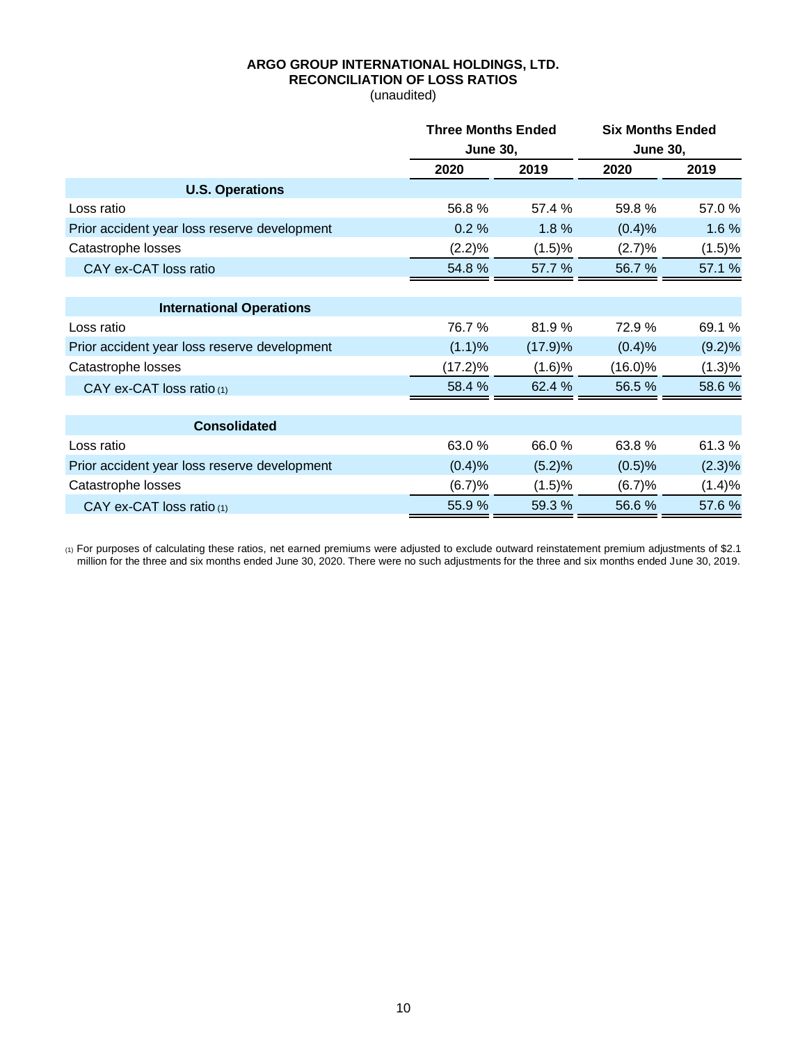#### **ARGO GROUP INTERNATIONAL HOLDINGS, LTD. RECONCILIATION OF LOSS RATIOS**

(unaudited)

| 2020       | 2019    | 2020                                         | 2019                                       |  |
|------------|---------|----------------------------------------------|--------------------------------------------|--|
|            |         |                                              |                                            |  |
| 56.8%      | 57.4 %  | 59.8 %                                       | 57.0%                                      |  |
| 0.2%       | 1.8%    | (0.4)%                                       | 1.6%                                       |  |
| $(2.2)\%$  | (1.5)%  | (2.7)%                                       | (1.5)%                                     |  |
| 54.8 %     | 57.7 %  | 56.7 %                                       | 57.1 %                                     |  |
|            |         |                                              |                                            |  |
|            |         |                                              |                                            |  |
| 76.7 %     | 81.9%   | 72.9 %                                       | 69.1 %                                     |  |
| (1.1)%     | (17.9)% | (0.4)%                                       | (9.2)%                                     |  |
| $(17.2)\%$ | (1.6)%  | $(16.0)\%$                                   | (1.3)%                                     |  |
| 58.4 %     | 62.4 %  | 56.5 %                                       | 58.6%                                      |  |
|            |         |                                              |                                            |  |
|            |         |                                              |                                            |  |
| 63.0 %     | 66.0%   | 63.8 %                                       | 61.3%                                      |  |
| (0.4)%     | (5.2)%  | (0.5)%                                       | $(2.3)\%$                                  |  |
| (6.7)%     | (1.5)%  | (6.7)%                                       | (1.4)%                                     |  |
| 55.9 %     | 59.3 %  | 56.6%                                        | 57.6 %                                     |  |
|            |         | <b>Three Months Ended</b><br><b>June 30,</b> | <b>Six Months Ended</b><br><b>June 30,</b> |  |

(1) For purposes of calculating these ratios, net earned premiums were adjusted to exclude outward reinstatement premium adjustments of \$2.1 million for the three and six months ended June 30, 2020. There were no such adjustments for the three and six months ended June 30, 2019.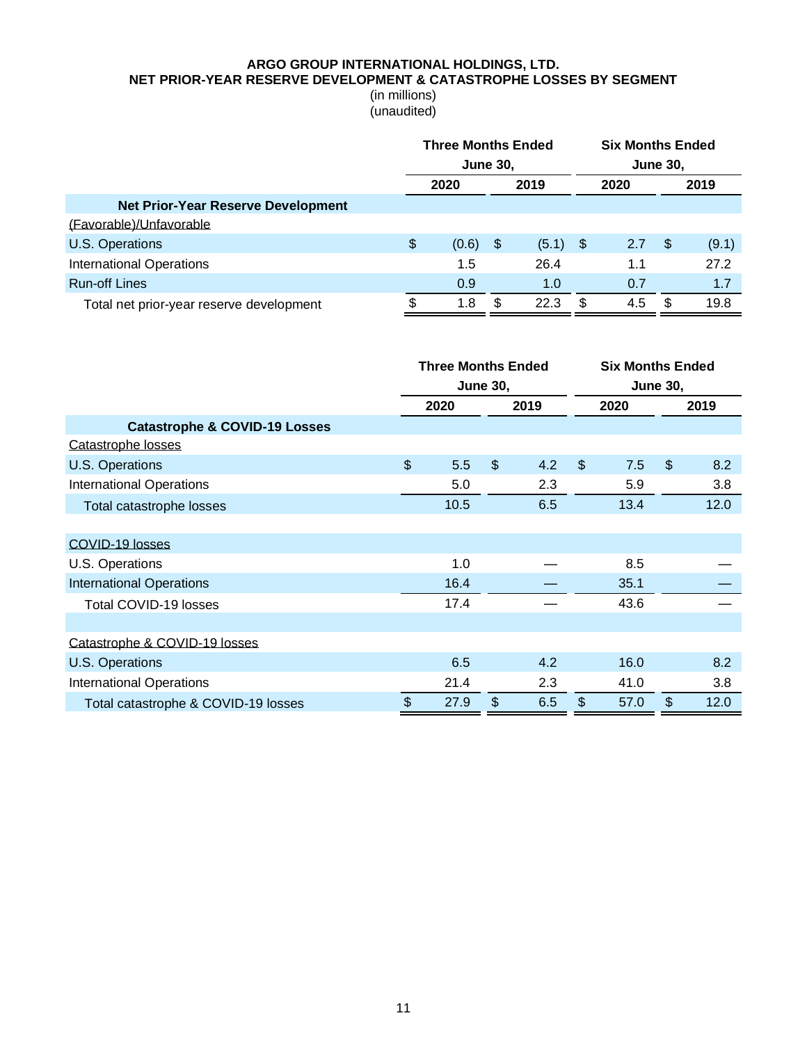#### **ARGO GROUP INTERNATIONAL HOLDINGS, LTD. NET PRIOR-YEAR RESERVE DEVELOPMENT & CATASTROPHE LOSSES BY SEGMENT**

|                                           |              | <b>Three Months Ended</b><br><b>June 30,</b> |      |            | <b>Six Months Ended</b><br><b>June 30,</b> |      |      |       |
|-------------------------------------------|--------------|----------------------------------------------|------|------------|--------------------------------------------|------|------|-------|
|                                           | 2019<br>2020 |                                              |      |            |                                            | 2020 |      | 2019  |
| <b>Net Prior-Year Reserve Development</b> |              |                                              |      |            |                                            |      |      |       |
| (Favorable)/Unfavorable                   |              |                                              |      |            |                                            |      |      |       |
| U.S. Operations                           | \$           | (0.6)                                        | - \$ | $(5.1)$ \$ |                                            | 2.7  | - \$ | (9.1) |
| <b>International Operations</b>           |              | 1.5                                          |      | 26.4       |                                            | 1.1  |      | 27.2  |
| <b>Run-off Lines</b>                      |              | 0.9                                          |      | 1.0        |                                            | 0.7  |      | 1.7   |
| Total net prior-year reserve development  | \$           | 1.8                                          | £.   | 22.3       | S                                          | 4.5  |      | 19.8  |

|                                          |                | <b>Three Months Ended</b> |                 |      | <b>Six Months Ended</b> |      |                 |      |  |
|------------------------------------------|----------------|---------------------------|-----------------|------|-------------------------|------|-----------------|------|--|
|                                          |                |                           | <b>June 30,</b> |      |                         |      | <b>June 30,</b> |      |  |
|                                          |                | 2020                      |                 | 2019 |                         | 2020 |                 | 2019 |  |
| <b>Catastrophe &amp; COVID-19 Losses</b> |                |                           |                 |      |                         |      |                 |      |  |
| Catastrophe losses                       |                |                           |                 |      |                         |      |                 |      |  |
| U.S. Operations                          | $\mathfrak{S}$ | 5.5                       | $\mathcal{S}$   | 4.2  | $\mathfrak{L}$          | 7.5  | $\mathfrak{S}$  | 8.2  |  |
| <b>International Operations</b>          |                | 5.0                       |                 | 2.3  |                         | 5.9  |                 | 3.8  |  |
| Total catastrophe losses                 |                | 10.5                      |                 | 6.5  |                         | 13.4 |                 | 12.0 |  |
|                                          |                |                           |                 |      |                         |      |                 |      |  |
| COVID-19 losses                          |                |                           |                 |      |                         |      |                 |      |  |
| U.S. Operations                          |                | 1.0                       |                 |      |                         | 8.5  |                 |      |  |
| <b>International Operations</b>          |                | 16.4                      |                 |      |                         | 35.1 |                 |      |  |
| Total COVID-19 losses                    |                | 17.4                      |                 |      |                         | 43.6 |                 |      |  |
|                                          |                |                           |                 |      |                         |      |                 |      |  |
| Catastrophe & COVID-19 losses            |                |                           |                 |      |                         |      |                 |      |  |
| U.S. Operations                          |                | 6.5                       |                 | 4.2  |                         | 16.0 |                 | 8.2  |  |
| <b>International Operations</b>          |                | 21.4                      |                 | 2.3  |                         | 41.0 |                 | 3.8  |  |
| Total catastrophe & COVID-19 losses      | \$             | 27.9                      | \$              | 6.5  | $\mathfrak{S}$          | 57.0 | \$              | 12.0 |  |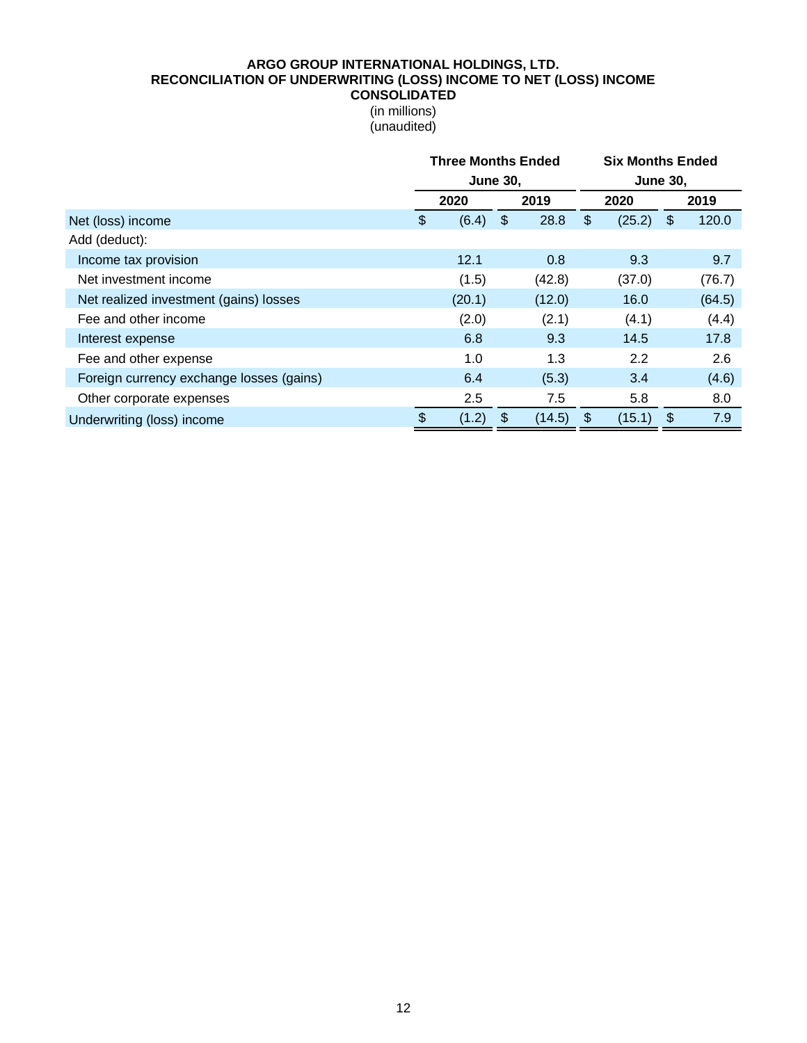#### **ARGO GROUP INTERNATIONAL HOLDINGS, LTD. RECONCILIATION OF UNDERWRITING (LOSS) INCOME TO NET (LOSS) INCOME CONSOLIDATED**

|                                          | <b>Three Months Ended</b> |                |        |    | <b>Six Months Ended</b> |    |        |  |
|------------------------------------------|---------------------------|----------------|--------|----|-------------------------|----|--------|--|
|                                          | <b>June 30,</b>           |                |        |    | <b>June 30,</b>         |    |        |  |
|                                          | 2020                      |                | 2019   |    | 2020                    |    | 2019   |  |
| Net (loss) income                        | \$<br>(6.4)               | $\mathfrak{L}$ | 28.8   | \$ | (25.2)                  | \$ | 120.0  |  |
| Add (deduct):                            |                           |                |        |    |                         |    |        |  |
| Income tax provision                     | 12.1                      |                | 0.8    |    | 9.3                     |    | 9.7    |  |
| Net investment income                    | (1.5)                     |                | (42.8) |    | (37.0)                  |    | (76.7) |  |
| Net realized investment (gains) losses   | (20.1)                    |                | (12.0) |    | 16.0                    |    | (64.5) |  |
| Fee and other income                     | (2.0)                     |                | (2.1)  |    | (4.1)                   |    | (4.4)  |  |
| Interest expense                         | 6.8                       |                | 9.3    |    | 14.5                    |    | 17.8   |  |
| Fee and other expense                    | 1.0                       |                | 1.3    |    | 2.2                     |    | 2.6    |  |
| Foreign currency exchange losses (gains) | 6.4                       |                | (5.3)  |    | 3.4                     |    | (4.6)  |  |
| Other corporate expenses                 | 2.5                       |                | 7.5    |    | 5.8                     |    | 8.0    |  |
| Underwriting (loss) income               | \$<br>(1.2)               | \$             | (14.5) | \$ | (15.1)                  | \$ | 7.9    |  |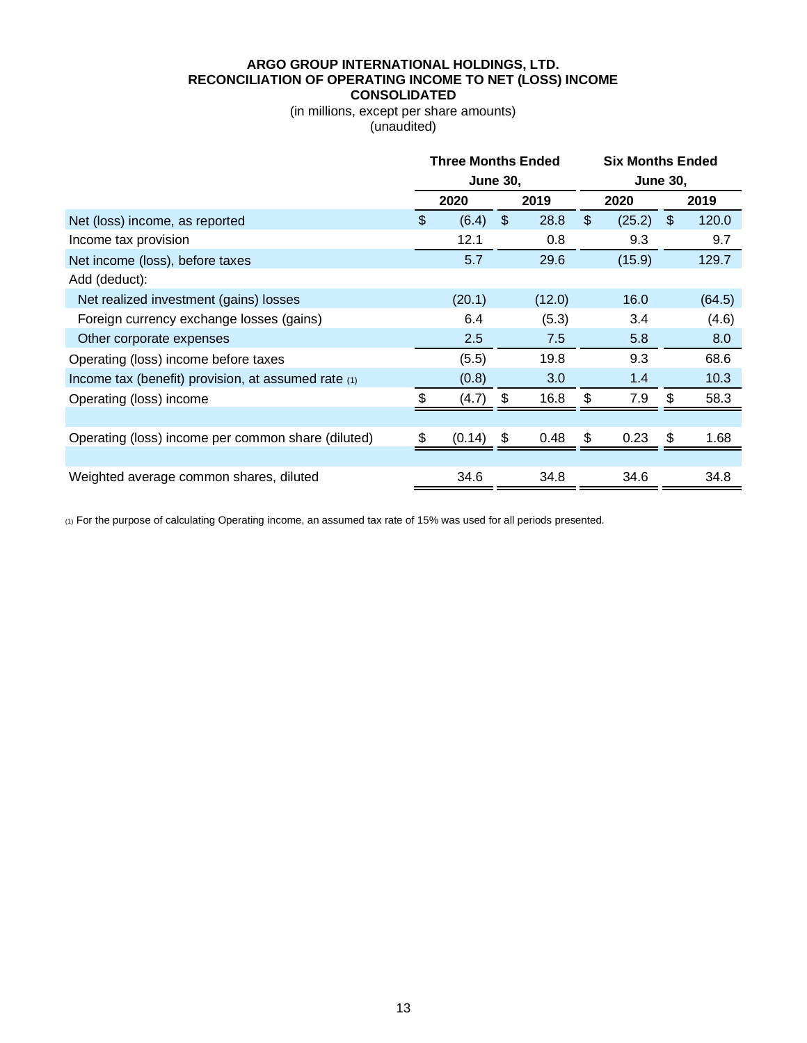#### **ARGO GROUP INTERNATIONAL HOLDINGS, LTD. RECONCILIATION OF OPERATING INCOME TO NET (LOSS) INCOME CONSOLIDATED**

(in millions, except per share amounts) (unaudited)

|                                                     | <b>Three Months Ended</b> |                 |                |        | <b>Six Months Ended</b> |                 |        |  |
|-----------------------------------------------------|---------------------------|-----------------|----------------|--------|-------------------------|-----------------|--------|--|
|                                                     |                           | <b>June 30,</b> |                |        |                         | <b>June 30,</b> |        |  |
|                                                     |                           | 2020            |                | 2019   | 2020                    |                 | 2019   |  |
| Net (loss) income, as reported                      | \$                        | (6.4)           | $\mathfrak{F}$ | 28.8   | \$<br>(25.2)            | \$              | 120.0  |  |
| Income tax provision                                |                           | 12.1            |                | 0.8    | 9.3                     |                 | 9.7    |  |
| Net income (loss), before taxes                     |                           | 5.7             |                | 29.6   | (15.9)                  |                 | 129.7  |  |
| Add (deduct):                                       |                           |                 |                |        |                         |                 |        |  |
| Net realized investment (gains) losses              |                           | (20.1)          |                | (12.0) | 16.0                    |                 | (64.5) |  |
| Foreign currency exchange losses (gains)            |                           | 6.4             |                | (5.3)  | 3.4                     |                 | (4.6)  |  |
| Other corporate expenses                            |                           | 2.5             |                | 7.5    | 5.8                     |                 | 8.0    |  |
| Operating (loss) income before taxes                |                           | (5.5)           |                | 19.8   | 9.3                     |                 | 68.6   |  |
| Income tax (benefit) provision, at assumed rate (1) |                           | (0.8)           |                | 3.0    | 1.4                     |                 | 10.3   |  |
| Operating (loss) income                             |                           | (4.7)           | \$             | 16.8   | \$<br>7.9               | \$              | 58.3   |  |
|                                                     |                           |                 |                |        |                         |                 |        |  |
| Operating (loss) income per common share (diluted)  |                           | (0.14)          | \$             | 0.48   | \$<br>0.23              |                 | 1.68   |  |
|                                                     |                           |                 |                |        |                         |                 |        |  |
| Weighted average common shares, diluted             |                           | 34.6            |                | 34.8   | 34.6                    |                 | 34.8   |  |

(1) For the purpose of calculating Operating income, an assumed tax rate of 15% was used for all periods presented.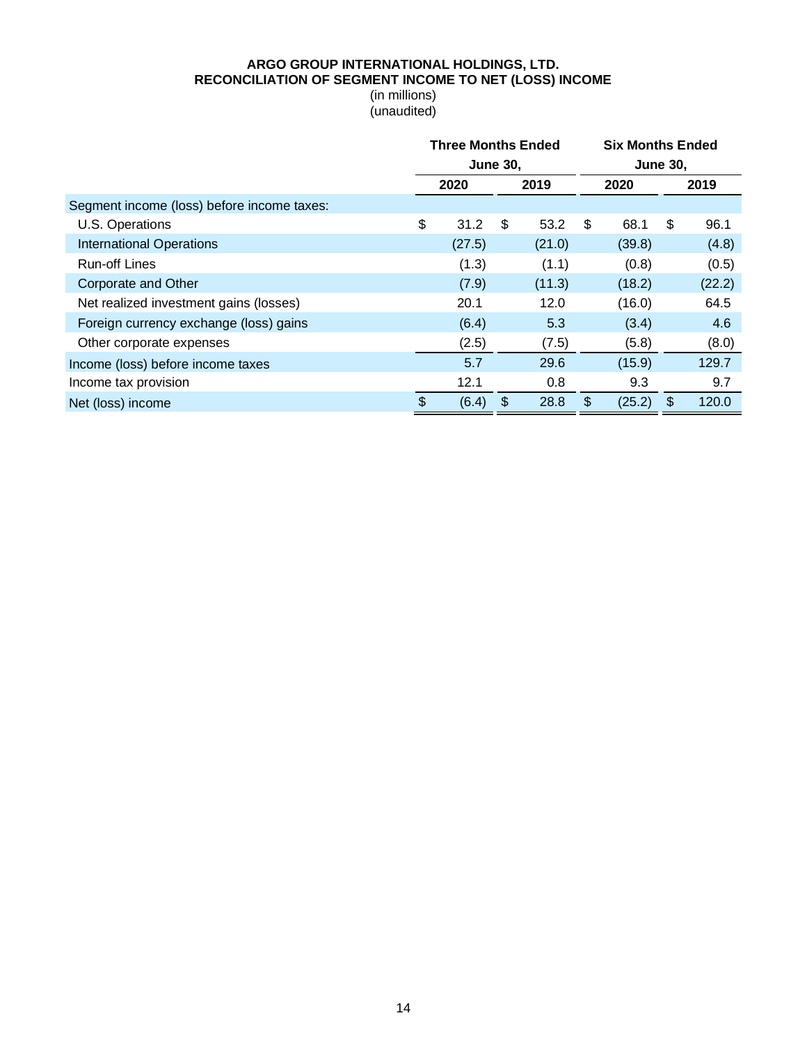#### **ARGO GROUP INTERNATIONAL HOLDINGS, LTD. RECONCILIATION OF SEGMENT INCOME TO NET (LOSS) INCOME**

|                                            | <b>Three Months Ended</b> |                 |                           |        |    | <b>Six Months Ended</b> |                 |        |  |
|--------------------------------------------|---------------------------|-----------------|---------------------------|--------|----|-------------------------|-----------------|--------|--|
|                                            |                           | <b>June 30,</b> |                           |        |    |                         | <b>June 30,</b> |        |  |
|                                            |                           | 2020            |                           | 2019   |    | 2020                    |                 | 2019   |  |
| Segment income (loss) before income taxes: |                           |                 |                           |        |    |                         |                 |        |  |
| U.S. Operations                            | \$                        | 31.2            | \$                        | 53.2   | \$ | 68.1                    | \$              | 96.1   |  |
| <b>International Operations</b>            |                           | (27.5)          |                           | (21.0) |    | (39.8)                  |                 | (4.8)  |  |
| <b>Run-off Lines</b>                       |                           | (1.3)           |                           | (1.1)  |    | (0.8)                   |                 | (0.5)  |  |
| Corporate and Other                        |                           | (7.9)           |                           | (11.3) |    | (18.2)                  |                 | (22.2) |  |
| Net realized investment gains (losses)     |                           | 20.1            |                           | 12.0   |    | (16.0)                  |                 | 64.5   |  |
| Foreign currency exchange (loss) gains     |                           | (6.4)           |                           | 5.3    |    | (3.4)                   |                 | 4.6    |  |
| Other corporate expenses                   |                           | (2.5)           |                           | (7.5)  |    | (5.8)                   |                 | (8.0)  |  |
| Income (loss) before income taxes          |                           | 5.7             |                           | 29.6   |    | (15.9)                  |                 | 129.7  |  |
| Income tax provision                       |                           | 12.1            |                           | 0.8    |    | 9.3                     |                 | 9.7    |  |
| Net (loss) income                          | \$                        | (6.4)           | $\boldsymbol{\mathsf{S}}$ | 28.8   | \$ | (25.2)                  | S               | 120.0  |  |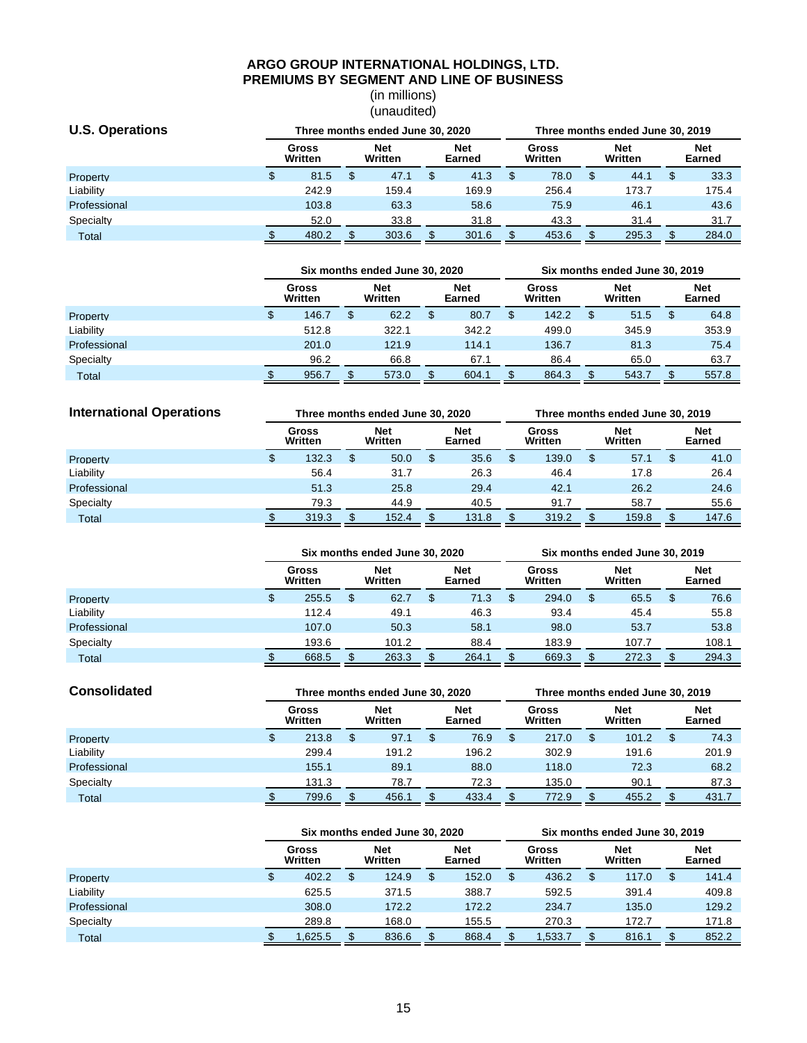#### **ARGO GROUP INTERNATIONAL HOLDINGS, LTD. PREMIUMS BY SEGMENT AND LINE OF BUSINESS**

| <b>U.S. Operations</b> |     |                  |     | Three months ended June 30, 2020 |                      |     | Three months ended June 30, 2019 |     |                       |  |                      |
|------------------------|-----|------------------|-----|----------------------------------|----------------------|-----|----------------------------------|-----|-----------------------|--|----------------------|
|                        |     | Gross<br>Written |     | <b>Net</b><br>Written            | <b>Net</b><br>Earned |     | Gross<br>Written                 |     | <b>Net</b><br>Written |  | <b>Net</b><br>Earned |
| Property               | \$. | 81.5             | \$. | 47.1                             | 41.3                 | \$. | 78.0                             | \$. | 44.1                  |  | 33.3                 |
| Liability              |     | 242.9            |     | 159.4                            | 169.9                |     | 256.4                            |     | 173.7                 |  | 175.4                |
| Professional           |     | 103.8            |     | 63.3                             | 58.6                 |     | 75.9                             |     | 46.1                  |  | 43.6                 |
| Specialty              |     | 52.0             |     | 33.8                             | 31.8                 |     | 43.3                             |     | 31.4                  |  | 31.7                 |
| Total                  |     | 480.2            |     | 303.6                            | 301.6                |     | 453.6                            |     | 295.3                 |  | 284.0                |

|              |                         |  | Six months ended June 30, 2020 |    |                      | Six months ended June 30, 2019 |       |                       |       |                      |       |  |
|--------------|-------------------------|--|--------------------------------|----|----------------------|--------------------------------|-------|-----------------------|-------|----------------------|-------|--|
|              | <b>Gross</b><br>Written |  | <b>Net</b><br>Written          |    | <b>Net</b><br>Earned | Gross<br>Written               |       | <b>Net</b><br>Written |       | <b>Net</b><br>Earned |       |  |
| Property     | 146.7                   |  | 62.2                           | \$ | 80.7                 |                                | 142.2 |                       | 51.5  |                      | 64.8  |  |
| Liability    | 512.8                   |  | 322.1                          |    | 342.2                |                                | 499.0 |                       | 345.9 |                      | 353.9 |  |
| Professional | 201.0                   |  | 121.9                          |    | 114.1                |                                | 136.7 |                       | 81.3  |                      | 75.4  |  |
| Specialty    | 96.2                    |  | 66.8                           |    | 67.1                 |                                | 86.4  |                       | 65.0  |                      | 63.7  |  |
| Total        | 956.7                   |  | 573.0                          |    | 604.1                |                                | 864.3 |                       | 543.7 |                      | 557.8 |  |

| <b>International Operations</b> |                  | Three months ended June 30, 2020 |       | Three months ended June 30, 2019 |       |                  |       |                       |       |                      |       |
|---------------------------------|------------------|----------------------------------|-------|----------------------------------|-------|------------------|-------|-----------------------|-------|----------------------|-------|
|                                 | Gross<br>Written | <b>Net</b><br>Written            |       | <b>Net</b><br>Earned             |       | Gross<br>Written |       | <b>Net</b><br>Written |       | <b>Net</b><br>Earned |       |
| Property                        | \$<br>132.3      |                                  | 50.0  | S                                | 35.6  |                  | 139.0 | S                     | 57.1  |                      | 41.0  |
| Liability                       | 56.4             |                                  | 31.7  |                                  | 26.3  |                  | 46.4  |                       | 17.8  |                      | 26.4  |
| Professional                    | 51.3             |                                  | 25.8  |                                  | 29.4  |                  | 42.1  |                       | 26.2  |                      | 24.6  |
| Specialty                       | 79.3             |                                  | 44.9  |                                  | 40.5  |                  | 91.7  |                       | 58.7  |                      | 55.6  |
| Total                           | 319.3            |                                  | 152.4 |                                  | 131.8 |                  | 319.2 |                       | 159.8 |                      | 147.6 |

|              |                  |       |                       | Six months ended June 30, 2020 |                      |       | Six months ended June 30, 2019 |       |                       |       |                      |       |  |
|--------------|------------------|-------|-----------------------|--------------------------------|----------------------|-------|--------------------------------|-------|-----------------------|-------|----------------------|-------|--|
|              | Gross<br>Written |       | <b>Net</b><br>Written |                                | <b>Net</b><br>Earned |       | Gross<br>Written               |       | <b>Net</b><br>Written |       | <b>Net</b><br>Earned |       |  |
| Property     | D                | 255.5 | S                     | 62.7                           | S                    | 71.3  |                                | 294.0 |                       | 65.5  |                      | 76.6  |  |
| Liability    |                  | 112.4 |                       | 49.1                           |                      | 46.3  |                                | 93.4  |                       | 45.4  |                      | 55.8  |  |
| Professional |                  | 107.0 |                       | 50.3                           |                      | 58.1  |                                | 98.0  |                       | 53.7  |                      | 53.8  |  |
| Specialty    |                  | 193.6 |                       | 101.2                          |                      | 88.4  |                                | 183.9 |                       | 107.7 |                      | 108.1 |  |
| <b>Total</b> |                  | 668.5 |                       | 263.3                          |                      | 264.1 |                                | 669.3 |                       | 272.3 |                      | 294.3 |  |

| <b>Consolidated</b> |                         |       | Three months ended June 30, 2020 |                       | Three months ended June 30, 2019 |                      |  |                  |  |                       |  |                             |
|---------------------|-------------------------|-------|----------------------------------|-----------------------|----------------------------------|----------------------|--|------------------|--|-----------------------|--|-----------------------------|
|                     | <b>Gross</b><br>Written |       |                                  | <b>Net</b><br>Written |                                  | <b>Net</b><br>Earned |  | Gross<br>Written |  | <b>Net</b><br>Written |  | <b>Net</b><br><b>Earned</b> |
| Property            |                         | 213.8 |                                  | 97.1                  |                                  | 76.9                 |  | 217.0            |  | 101.2                 |  | 74.3                        |
| Liability           |                         | 299.4 |                                  | 191.2                 |                                  | 196.2                |  | 302.9            |  | 191.6                 |  | 201.9                       |
| Professional        |                         | 155.1 |                                  | 89.1                  |                                  | 88.0                 |  | 118.0            |  | 72.3                  |  | 68.2                        |
| Specialty           |                         | 131.3 |                                  | 78.7                  |                                  | 72.3                 |  | 135.0            |  | 90.1                  |  | 87.3                        |
| Total               |                         | 799.6 |                                  | 456.1                 |                                  | 433.4                |  | 772.9            |  | 455.2                 |  | 431.7                       |

|              |                  |  | Six months ended June 30, 2020 |   |                      | Six months ended June 30, 2019 |                         |  |                       |  |                      |  |
|--------------|------------------|--|--------------------------------|---|----------------------|--------------------------------|-------------------------|--|-----------------------|--|----------------------|--|
| Property     | Gross<br>Written |  | <b>Net</b><br>Written          |   | <b>Net</b><br>Earned |                                | <b>Gross</b><br>Written |  | <b>Net</b><br>Written |  | <b>Net</b><br>Earned |  |
|              | \$<br>402.2      |  | 124.9                          | S | 152.0                |                                | 436.2                   |  | 117.0                 |  | 141.4                |  |
| Liability    | 625.5            |  | 371.5                          |   | 388.7                |                                | 592.5                   |  | 391.4                 |  | 409.8                |  |
| Professional | 308.0            |  | 172.2                          |   | 172.2                |                                | 234.7                   |  | 135.0                 |  | 129.2                |  |
| Specialty    | 289.8            |  | 168.0                          |   | 155.5                |                                | 270.3                   |  | 172.7                 |  | 171.8                |  |
| Total        | .625.5           |  | 836.6                          |   | 868.4                |                                | .533.7                  |  | 816.1                 |  | 852.2                |  |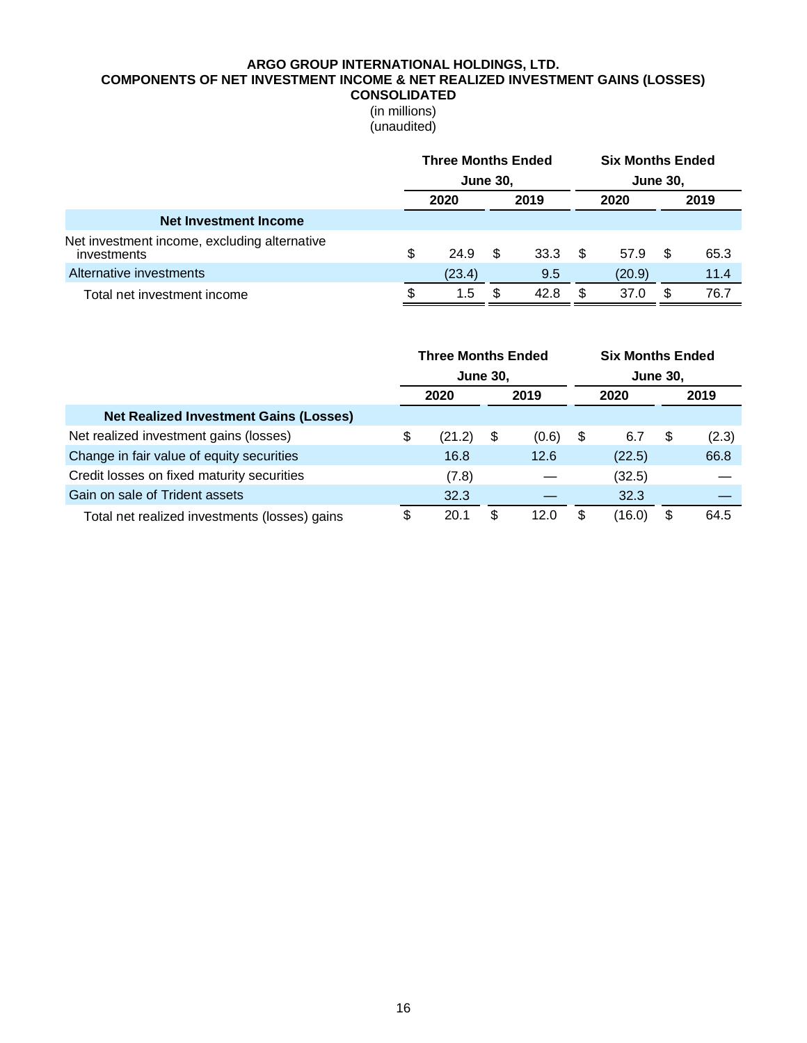#### **ARGO GROUP INTERNATIONAL HOLDINGS, LTD. COMPONENTS OF NET INVESTMENT INCOME & NET REALIZED INVESTMENT GAINS (LOSSES) CONSOLIDATED**

|                                                             | <b>Three Months Ended</b><br><b>June 30,</b> |        |    |      |     | <b>Six Months Ended</b><br><b>June 30,</b> |      |      |
|-------------------------------------------------------------|----------------------------------------------|--------|----|------|-----|--------------------------------------------|------|------|
|                                                             |                                              | 2020   |    | 2019 |     | 2020                                       |      | 2019 |
| Net Investment Income                                       |                                              |        |    |      |     |                                            |      |      |
| Net investment income, excluding alternative<br>investments | \$                                           | 24.9   | \$ | 33.3 | \$. | 57.9                                       | - \$ | 65.3 |
| Alternative investments                                     |                                              | (23.4) |    | 9.5  |     | (20.9)                                     |      | 11.4 |
| Total net investment income                                 | \$                                           | 1.5    | S  | 42.8 |     | 37.0                                       |      | 76.7 |

|                                               | <b>Three Months Ended</b> | <b>June 30,</b> |       |    | <b>Six Months Ended</b><br><b>June 30,</b> |   |       |
|-----------------------------------------------|---------------------------|-----------------|-------|----|--------------------------------------------|---|-------|
|                                               | 2020                      |                 | 2019  |    | 2020                                       |   | 2019  |
| <b>Net Realized Investment Gains (Losses)</b> |                           |                 |       |    |                                            |   |       |
| Net realized investment gains (losses)        | \$<br>(21.2)              | \$              | (0.6) | \$ | 6.7                                        | S | (2.3) |
| Change in fair value of equity securities     | 16.8                      |                 | 12.6  |    | (22.5)                                     |   | 66.8  |
| Credit losses on fixed maturity securities    | (7.8)                     |                 |       |    | (32.5)                                     |   |       |
| Gain on sale of Trident assets                | 32.3                      |                 |       |    | 32.3                                       |   |       |
| Total net realized investments (losses) gains | \$<br>20.1                | S               | 12.0  | S  | (16.0)                                     |   | 64.5  |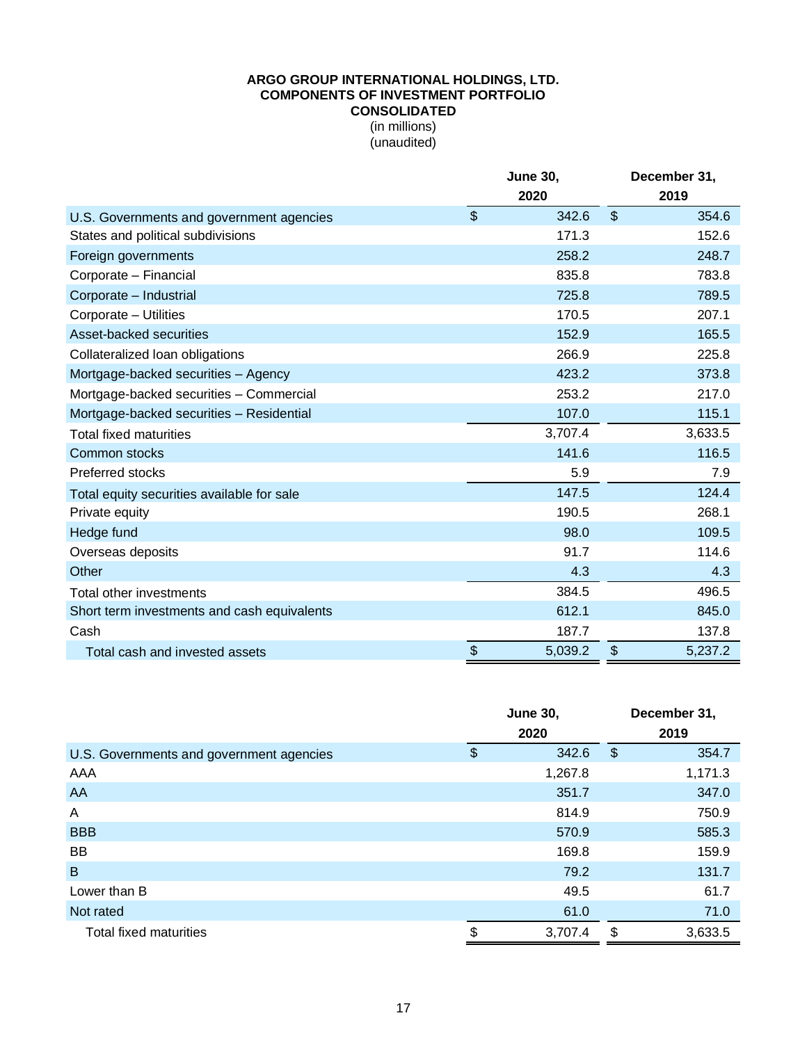#### **ARGO GROUP INTERNATIONAL HOLDINGS, LTD. COMPONENTS OF INVESTMENT PORTFOLIO CONSOLIDATED** (in millions)

(unaudited)

|                                             |                | <b>June 30,</b> |                | December 31, |
|---------------------------------------------|----------------|-----------------|----------------|--------------|
|                                             |                | 2020            |                | 2019         |
| U.S. Governments and government agencies    | $\mathfrak{S}$ | 342.6           | $\mathcal{S}$  | 354.6        |
| States and political subdivisions           |                | 171.3           |                | 152.6        |
| Foreign governments                         |                | 258.2           |                | 248.7        |
| Corporate - Financial                       |                | 835.8           |                | 783.8        |
| Corporate - Industrial                      |                | 725.8           |                | 789.5        |
| Corporate - Utilities                       |                | 170.5           |                | 207.1        |
| Asset-backed securities                     |                | 152.9           |                | 165.5        |
| Collateralized loan obligations             |                | 266.9           |                | 225.8        |
| Mortgage-backed securities - Agency         |                | 423.2           |                | 373.8        |
| Mortgage-backed securities - Commercial     |                | 253.2           |                | 217.0        |
| Mortgage-backed securities - Residential    |                | 107.0           |                | 115.1        |
| <b>Total fixed maturities</b>               |                | 3,707.4         |                | 3,633.5      |
| Common stocks                               |                | 141.6           |                | 116.5        |
| Preferred stocks                            |                | 5.9             |                | 7.9          |
| Total equity securities available for sale  |                | 147.5           |                | 124.4        |
| Private equity                              |                | 190.5           |                | 268.1        |
| Hedge fund                                  |                | 98.0            |                | 109.5        |
| Overseas deposits                           |                | 91.7            |                | 114.6        |
| Other                                       |                | 4.3             |                | 4.3          |
| Total other investments                     |                | 384.5           |                | 496.5        |
| Short term investments and cash equivalents |                | 612.1           |                | 845.0        |
| Cash                                        |                | 187.7           |                | 137.8        |
| Total cash and invested assets              | $\frac{1}{2}$  | 5,039.2         | $\mathfrak{S}$ | 5,237.2      |

|                                          |                       | <b>June 30,</b><br>2020 |                             | December 31,<br>2019 |
|------------------------------------------|-----------------------|-------------------------|-----------------------------|----------------------|
| U.S. Governments and government agencies | $\boldsymbol{\theta}$ | 342.6                   | $\boldsymbol{\hat{\theta}}$ | 354.7                |
| AAA                                      |                       | 1,267.8                 |                             | 1,171.3              |
| AA                                       |                       | 351.7                   |                             | 347.0                |
| A                                        |                       | 814.9                   |                             | 750.9                |
| <b>BBB</b>                               |                       | 570.9                   |                             | 585.3                |
| <b>BB</b>                                |                       | 169.8                   |                             | 159.9                |
| B                                        |                       | 79.2                    |                             | 131.7                |
| Lower than B                             |                       | 49.5                    |                             | 61.7                 |
| Not rated                                |                       | 61.0                    |                             | 71.0                 |
| <b>Total fixed maturities</b>            | \$                    | 3,707.4                 | \$                          | 3,633.5              |

. .